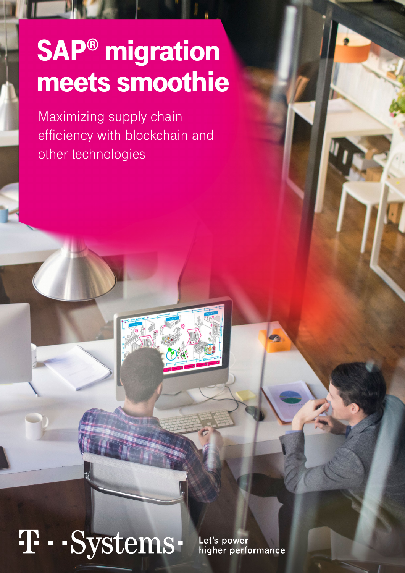## SAP® migration meets smoothie

Maximizing supply chain efficiency with blockchain and other technologies

# T · · Systems ·

Let's power higher performance **EXPERT INSIGHTS, FEBRUARY 2021**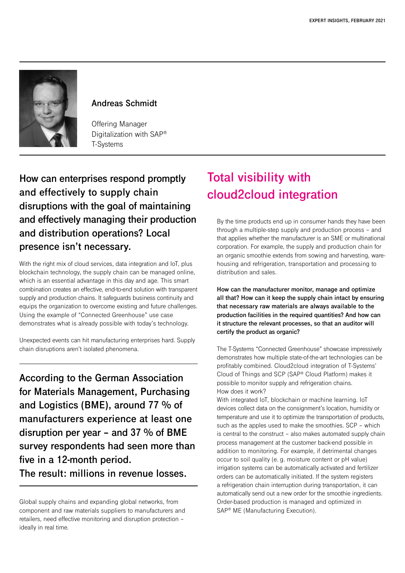

### **Andreas Schmidt**

Offering Manager Digitalization with SAP® T-Systems

**How can enterprises respond promptly and effectively to supply chain disruptions with the goal of maintaining and effectively managing their production and distribution operations? Local presence isn't necessary.**

With the right mix of cloud services, data integration and IoT, plus blockchain technology, the supply chain can be managed online, which is an essential advantage in this day and age. This smart combination creates an effective, end-to-end solution with transparent supply and production chains. It safeguards business continuity and equips the organization to overcome existing and future challenges. Using the example of "Connected Greenhouse" use case demonstrates what is already possible with today's technology.

Unexpected events can hit manufacturing enterprises hard. Supply chain disruptions aren't isolated phenomena.

**According to the German Association for Materials Management, Purchasing and Logistics (BME), around 77 % of manufacturers experience at least one disruption per year – and 37 % of BME survey respondents had seen more than five in a 12-month period. The result: millions in revenue losses.**

## **Total visibility with cloud2cloud integration**

By the time products end up in consumer hands they have been through a multiple-step supply and production process – and that applies whether the manufacturer is an SME or multinational corporation. For example, the supply and production chain for an organic smoothie extends from sowing and harvesting, warehousing and refrigeration, transportation and processing to distribution and sales.

**How can the manufacturer monitor, manage and optimize all that? How can it keep the supply chain intact by ensuring that necessary raw materials are always available to the production facilities in the required quantities? And how can it structure the relevant processes, so that an auditor will certify the product as organic?** 

The T-Systems "Connected Greenhouse" showcase impressively demonstrates how multiple state-of-the-art technologies can be profitably combined. Cloud2cloud integration of T-Systems' Cloud of Things and SCP (SAP® Cloud Platform) makes it possible to monitor supply and refrigeration chains. How does it work?

With integrated IoT, blockchain or machine learning. IoT devices collect data on the consignment's location, humidity or temperature and use it to optimize the transportation of products, such as the apples used to make the smoothies. SCP – which is central to the construct – also makes automated supply chain process management at the customer back-end possible in addition to monitoring. For example, if detrimental changes occur to soil quality (e. g. moisture content or pH value) irrigation systems can be automatically activated and fertilizer orders can be automatically initiated. If the system registers a refrigeration chain interruption during transportation, it can automatically send out a new order for the smoothie ingredients. Order-based production is managed and optimized in SAP® ME (Manufacturing Execution).

Global supply chains and expanding global networks, from component and raw materials suppliers to manufacturers and retailers, need effective monitoring and disruption protection – ideally in real time.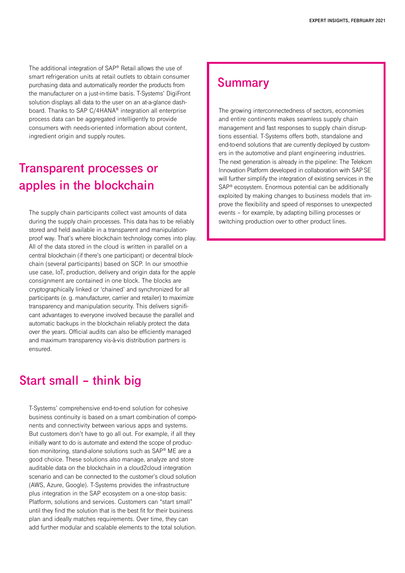The additional integration of SAP® Retail allows the use of smart refrigeration units at retail outlets to obtain consumer purchasing data and automatically reorder the products from the manufacturer on a just-in-time basis. T-Systems' DigiFront solution displays all data to the user on an at-a-glance dashboard. Thanks to SAP C/4HANA® integration all enterprise process data can be aggregated intelligently to provide consumers with needs-oriented information about content, ingredient origin and supply routes.

## **Transparent processes or apples in the blockchain**

The supply chain participants collect vast amounts of data during the supply chain processes. This data has to be reliably stored and held available in a transparent and manipulationproof way. That's where blockchain technology comes into play. All of the data stored in the cloud is written in parallel on a central blockchain (if there's one participant) or decentral blockchain (several participants) based on SCP. In our smoothie use case, IoT, production, delivery and origin data for the apple consignment are contained in one block. The blocks are cryptographically linked or 'chained' and synchronized for all participants (e. g. manufacturer, carrier and retailer) to maximize transparency and manipulation security. This delivers significant advantages to everyone involved because the parallel and automatic backups in the blockchain reliably protect the data over the years. Official audits can also be efficiently managed and maximum transparency vis-à-vis distribution partners is ensured.

### **Start small – think big**

T-Systems' comprehensive end-to-end solution for cohesive business continuity is based on a smart combination of components and connectivity between various apps and systems. But customers don't have to go all out. For example, if all they initially want to do is automate and extend the scope of production monitoring, stand-alone solutions such as SAP® ME are a good choice. These solutions also manage, analyze and store auditable data on the blockchain in a cloud2cloud integration scenario and can be connected to the customer's cloud solution (AWS, Azure, Google). T-Systems provides the infrastructure plus integration in the SAP ecosystem on a one-stop basis: Platform, solutions and services. Customers can "start small" until they find the solution that is the best fit for their business plan and ideally matches requirements. Over time, they can add further modular and scalable elements to the total solution.

### **Summary**

The growing interconnectedness of sectors, economies and entire continents makes seamless supply chain management and fast responses to supply chain disruptions essential. T-Systems offers both, standalone and end-to-end solutions that are currently deployed by customers in the automotive and plant engineering industries. The next generation is already in the pipeline: The Telekom Innovation Platform developed in collaboration with SAPSE will further simplify the integration of existing services in the SAP® ecosystem. Enormous potential can be additionally exploited by making changes to business models that improve the flexibility and speed of responses to unexpected events – for example, by adapting billing processes or switching production over to other product lines.